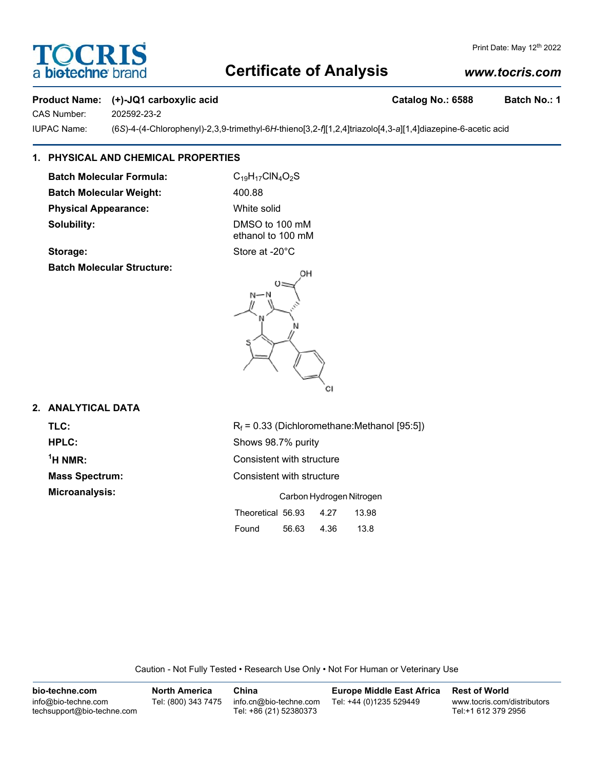# CRI a biotechne

#### Print Date: May 12<sup>th</sup> 2022

## **Certificate of Analysis**

## *www.tocris.com*

#### **Product Name:** (+)-JQ1 carboxylic acid **Catalog No.: 6588** Batch No.: 1

CAS Number: 202592-23-2

IUPAC Name: (6*S*)-4-(4-Chlorophenyl)-2,3,9-trimethyl-6*H*-thieno[3,2-*f*][1,2,4]triazolo[4,3-*a*][1,4]diazepine-6-acetic acid

## **1. PHYSICAL AND CHEMICAL PROPERTIES**

**Batch Molecular Formula:** C<sub>19</sub>H<sub>17</sub>ClN<sub>4</sub>O<sub>2</sub>S Batch Molecular Weight: 400.88 **Physical Appearance:** White solid **Solubility:** DMSO to 100 mM

ethanol to 100 mM

**Batch Molecular Structure:**

**Storage:** Store at -20°C



## **2. ANALYTICAL DATA**

 $1$ <sup>H</sup> NMR:

**TLC:**  $R_f = 0.33$  (Dichloromethane:Methanol [95:5]) **HPLC:** Shows 98.7% purity **Consistent with structure Mass Spectrum:** Consistent with structure **Microanalysis:** Carbon Hydrogen Nitrogen Theoretical 56.93 4.27 13.98 Found 56.63 4.36 13.8

Caution - Not Fully Tested • Research Use Only • Not For Human or Veterinary Use

| bio-techne.com                                    | North America       | China                                            | <b>Europe Middle East Africa</b> | <b>Rest of World</b>                               |
|---------------------------------------------------|---------------------|--------------------------------------------------|----------------------------------|----------------------------------------------------|
| info@bio-techne.com<br>techsupport@bio-techne.com | Tel: (800) 343 7475 | info.cn@bio-techne.com<br>Tel: +86 (21) 52380373 | Tel: +44 (0)1235 529449          | www.tocris.com/distributors<br>Tel:+1 612 379 2956 |